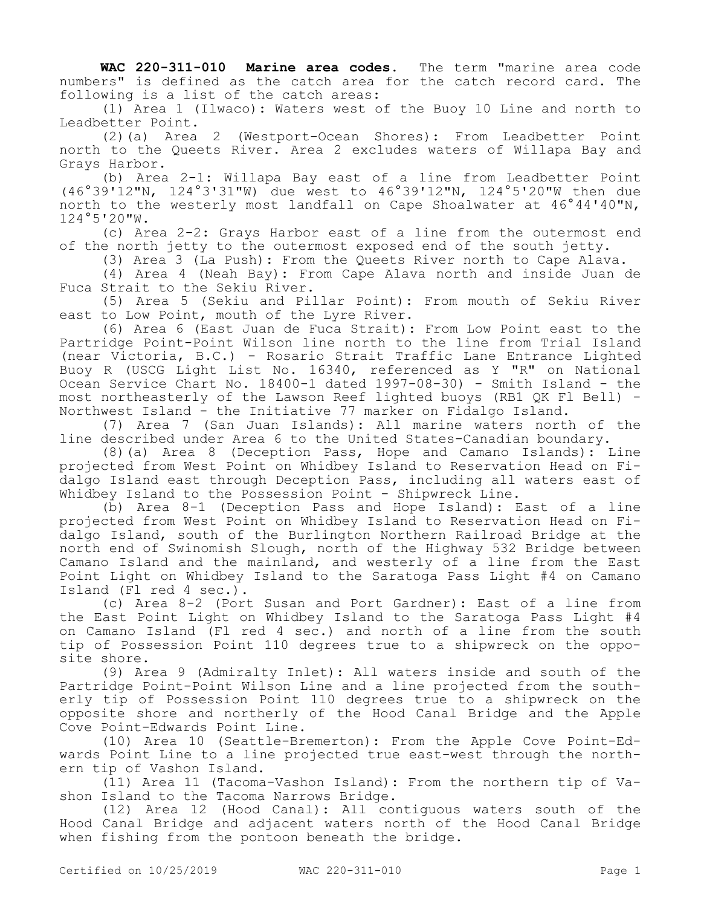**WAC 220-311-010 Marine area codes.** The term "marine area code numbers" is defined as the catch area for the catch record card. The following is a list of the catch areas:

(1) Area 1 (Ilwaco): Waters west of the Buoy 10 Line and north to Leadbetter Point.

(2)(a) Area 2 (Westport-Ocean Shores): From Leadbetter Point north to the Queets River. Area 2 excludes waters of Willapa Bay and Grays Harbor.

(b) Area 2-1: Willapa Bay east of a line from Leadbetter Point (46°39'12"N, 124°3'31"W) due west to 46°39'12"N, 124°5'20"W then due north to the westerly most landfall on Cape Shoalwater at 46°44'40"N, 124°5'20"W.

(c) Area 2-2: Grays Harbor east of a line from the outermost end of the north jetty to the outermost exposed end of the south jetty.

(3) Area 3 (La Push): From the Queets River north to Cape Alava.

(4) Area 4 (Neah Bay): From Cape Alava north and inside Juan de Fuca Strait to the Sekiu River.

(5) Area 5 (Sekiu and Pillar Point): From mouth of Sekiu River east to Low Point, mouth of the Lyre River.

(6) Area 6 (East Juan de Fuca Strait): From Low Point east to the Partridge Point-Point Wilson line north to the line from Trial Island (near Victoria, B.C.) - Rosario Strait Traffic Lane Entrance Lighted Buoy R (USCG Light List No. 16340, referenced as Y "R" on National Ocean Service Chart No. 18400-1 dated 1997-08-30) - Smith Island - the most northeasterly of the Lawson Reef lighted buoys (RB1 QK Fl Bell) - Northwest Island - the Initiative 77 marker on Fidalgo Island.

(7) Area 7 (San Juan Islands): All marine waters north of the line described under Area 6 to the United States-Canadian boundary.

(8)(a) Area 8 (Deception Pass, Hope and Camano Islands): Line projected from West Point on Whidbey Island to Reservation Head on Fidalgo Island east through Deception Pass, including all waters east of Whidbey Island to the Possession Point - Shipwreck Line.

(b) Area 8-1 (Deception Pass and Hope Island): East of a line projected from West Point on Whidbey Island to Reservation Head on Fidalgo Island, south of the Burlington Northern Railroad Bridge at the north end of Swinomish Slough, north of the Highway 532 Bridge between Camano Island and the mainland, and westerly of a line from the East Point Light on Whidbey Island to the Saratoga Pass Light #4 on Camano Island (Fl red 4 sec.).

(c) Area 8-2 (Port Susan and Port Gardner): East of a line from the East Point Light on Whidbey Island to the Saratoga Pass Light #4 on Camano Island (Fl red 4 sec.) and north of a line from the south tip of Possession Point 110 degrees true to a shipwreck on the opposite shore.

(9) Area 9 (Admiralty Inlet): All waters inside and south of the Partridge Point-Point Wilson Line and a line projected from the southerly tip of Possession Point 110 degrees true to a shipwreck on the opposite shore and northerly of the Hood Canal Bridge and the Apple Cove Point-Edwards Point Line.

(10) Area 10 (Seattle-Bremerton): From the Apple Cove Point-Edwards Point Line to a line projected true east-west through the northern tip of Vashon Island.

(11) Area 11 (Tacoma-Vashon Island): From the northern tip of Vashon Island to the Tacoma Narrows Bridge.

(12) Area 12 (Hood Canal): All contiguous waters south of the Hood Canal Bridge and adjacent waters north of the Hood Canal Bridge when fishing from the pontoon beneath the bridge.